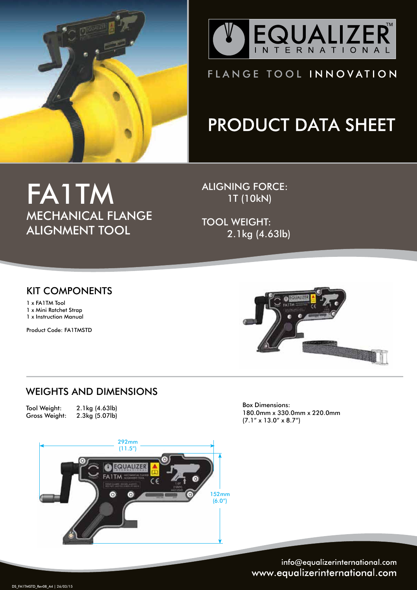



### FLANGE TOOL INNOVATION

# **PRODUCT DATA SHEET**

## FA1TM MECHANICAL FLANGE ALIGNMENT TOOL

ALIGNING FORCE: 1T (10kN)

TOOL WEIGHT: 2.1kg (4.63lb)

#### KIT COMPONENTS

1 x FA1TM Tool 1 x Mini Ratchet Strap 1 x Instruction Manual

Product Code: FA1TMSTD



#### WEIGHTS AND DIMENSIONS

Tool Weight: 2.1kg (4.63lb)  $2.3kg(5.07lb)$ 



Box Dimensions: 180.0mm x 330.0mm x 220.0mm (7.1" x 13.0" x 8.7")

info@equalizerinternational.com www.equalizerinternational.com